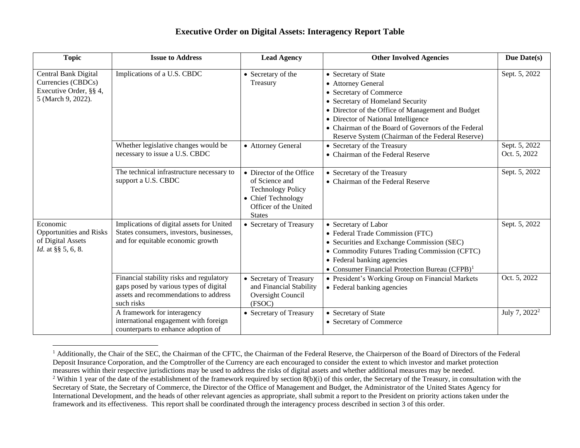## **Executive Order on Digital Assets: Interagency Report Table**

| <b>Topic</b>                                                                               | <b>Issue to Address</b>                                                                                                                   | <b>Lead Agency</b>                                                                                                                     | <b>Other Involved Agencies</b>                                                                                                                                                                                                                                                                                   | Due Date(s)                   |
|--------------------------------------------------------------------------------------------|-------------------------------------------------------------------------------------------------------------------------------------------|----------------------------------------------------------------------------------------------------------------------------------------|------------------------------------------------------------------------------------------------------------------------------------------------------------------------------------------------------------------------------------------------------------------------------------------------------------------|-------------------------------|
| Central Bank Digital<br>Currencies (CBDCs)<br>Executive Order, §§ 4,<br>5 (March 9, 2022). | Implications of a U.S. CBDC                                                                                                               | • Secretary of the<br>Treasury                                                                                                         | • Secretary of State<br>• Attorney General<br>• Secretary of Commerce<br>• Secretary of Homeland Security<br>• Director of the Office of Management and Budget<br>• Director of National Intelligence<br>• Chairman of the Board of Governors of the Federal<br>Reserve System (Chairman of the Federal Reserve) | Sept. 5, 2022                 |
|                                                                                            | Whether legislative changes would be<br>necessary to issue a U.S. CBDC                                                                    | • Attorney General                                                                                                                     | • Secretary of the Treasury<br>• Chairman of the Federal Reserve                                                                                                                                                                                                                                                 | Sept. 5, 2022<br>Oct. 5, 2022 |
|                                                                                            | The technical infrastructure necessary to<br>support a U.S. CBDC                                                                          | • Director of the Office<br>of Science and<br><b>Technology Policy</b><br>• Chief Technology<br>Officer of the United<br><b>States</b> | • Secretary of the Treasury<br>• Chairman of the Federal Reserve                                                                                                                                                                                                                                                 | Sept. 5, 2022                 |
| Economic<br>Opportunities and Risks<br>of Digital Assets<br><i>Id.</i> at §§ 5, 6, 8.      | Implications of digital assets for United<br>States consumers, investors, businesses,<br>and for equitable economic growth                | • Secretary of Treasury                                                                                                                | • Secretary of Labor<br>• Federal Trade Commission (FTC)<br>• Securities and Exchange Commission (SEC)<br>• Commodity Futures Trading Commission (CFTC)<br>• Federal banking agencies<br>• Consumer Financial Protection Bureau (CFPB) <sup>1</sup>                                                              | Sept. 5, 2022                 |
|                                                                                            | Financial stability risks and regulatory<br>gaps posed by various types of digital<br>assets and recommendations to address<br>such risks | • Secretary of Treasury<br>and Financial Stability<br>Oversight Council<br>(FSOC)                                                      | • President's Working Group on Financial Markets<br>• Federal banking agencies                                                                                                                                                                                                                                   | Oct. 5, 2022                  |
|                                                                                            | A framework for interagency<br>international engagement with foreign<br>counterparts to enhance adoption of                               | • Secretary of Treasury                                                                                                                | • Secretary of State<br>• Secretary of Commerce                                                                                                                                                                                                                                                                  | July 7, 2022 <sup>2</sup>     |

<sup>&</sup>lt;sup>1</sup> Additionally, the Chair of the SEC, the Chairman of the CFTC, the Chairman of the Federal Reserve, the Chairperson of the Board of Directors of the Federal Deposit Insurance Corporation, and the Comptroller of the Currency are each encouraged to consider the extent to which investor and market protection measures within their respective jurisdictions may be used to address the risks of digital assets and whether additional measures may be needed. <sup>2</sup> Within 1 year of the date of the establishment of the framework required by section  $8(b)(i)$  of this order, the Secretary of the Treasury, in consultation with the Secretary of State, the Secretary of Commerce, the Director of the Office of Management and Budget, the Administrator of the United States Agency for International Development, and the heads of other relevant agencies as appropriate, shall submit a report to the President on priority actions taken under the framework and its effectiveness. This report shall be coordinated through the interagency process described in section 3 of this order.